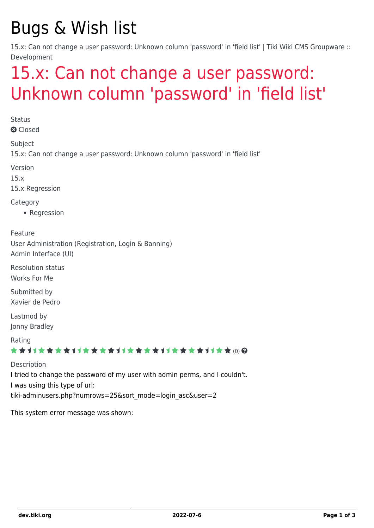## Bugs & Wish list

15.x: Can not change a user password: Unknown column 'password' in 'field list' | Tiki Wiki CMS Groupware :: Development

## [15.x: Can not change a user password:](https://dev.tiki.org/item6015-15-x-Can-not-change-a-user-password-Unknown-column-password-in-field-list) [Unknown column 'password' in 'field list'](https://dev.tiki.org/item6015-15-x-Can-not-change-a-user-password-Unknown-column-password-in-field-list)

**Status a** Closed

Subject

15.x: Can not change a user password: Unknown column 'password' in 'field list'

Version

15.x

15.x Regression

Category

• Regression

Feature User Administration (Registration, Login & Banning) Admin Interface (UI)

Resolution status Works For Me

Submitted by Xavier de Pedro

Lastmod by Jonny Bradley

Rating

\*\*\*\*\*\*\*\*\*\*\*\*\*\*\*\*\*\*\*\*\*\*\*\*\*\*\*\*\*\*

Description I tried to change the password of my user with admin perms, and I couldn't. I was using this type of url: tiki-adminusers.php?numrows=25&sort\_mode=login\_asc&user=2

This system error message was shown: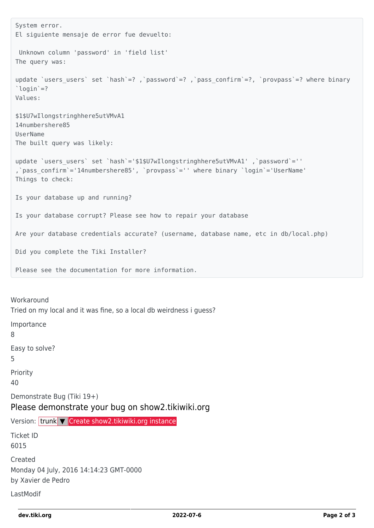```
System error.
 El siguiente mensaje de error fue devuelto:
   Unknown column 'password' in 'field list'
 The query was:
 update `users users` set `hash`=?, `password`=?, `pass confirm`=?, `provpass`=? where binary
 `login`=?
 Values:
 $1$U7wIlongstringhhere5utVMvA1
 14numbershere85
 UserName
 The built query was likely:
 update `users users` set `hash`='$1$U7wIlongstringhhere5utVMvA1' ,`password`=''
 ,`pass_confirm`='14numbershere85', `provpass`='' where binary `login`='UserName'
 Things to check:
 Is your database up and running?
 Is your database corrupt? Please see how to repair your database
 Are your database credentials accurate? (username, database name, etc in db/local.php)
 Did you complete the Tiki Installer?
 Please see the documentation for more information.
Workaround
Tried on my local and it was fine, so a local db weirdness i guess?
Importance
8
Easy to solve?
5
Priority
40
Demonstrate Bug (Tiki 19+)
Please demonstrate your bug on show2.tikiwiki.org
Create show2.tikiwiki.org instance
Ticket ID
6015
Created
Monday 04 July, 2016 14:14:23 GMT-0000
by Xavier de Pedro
LastModif
```